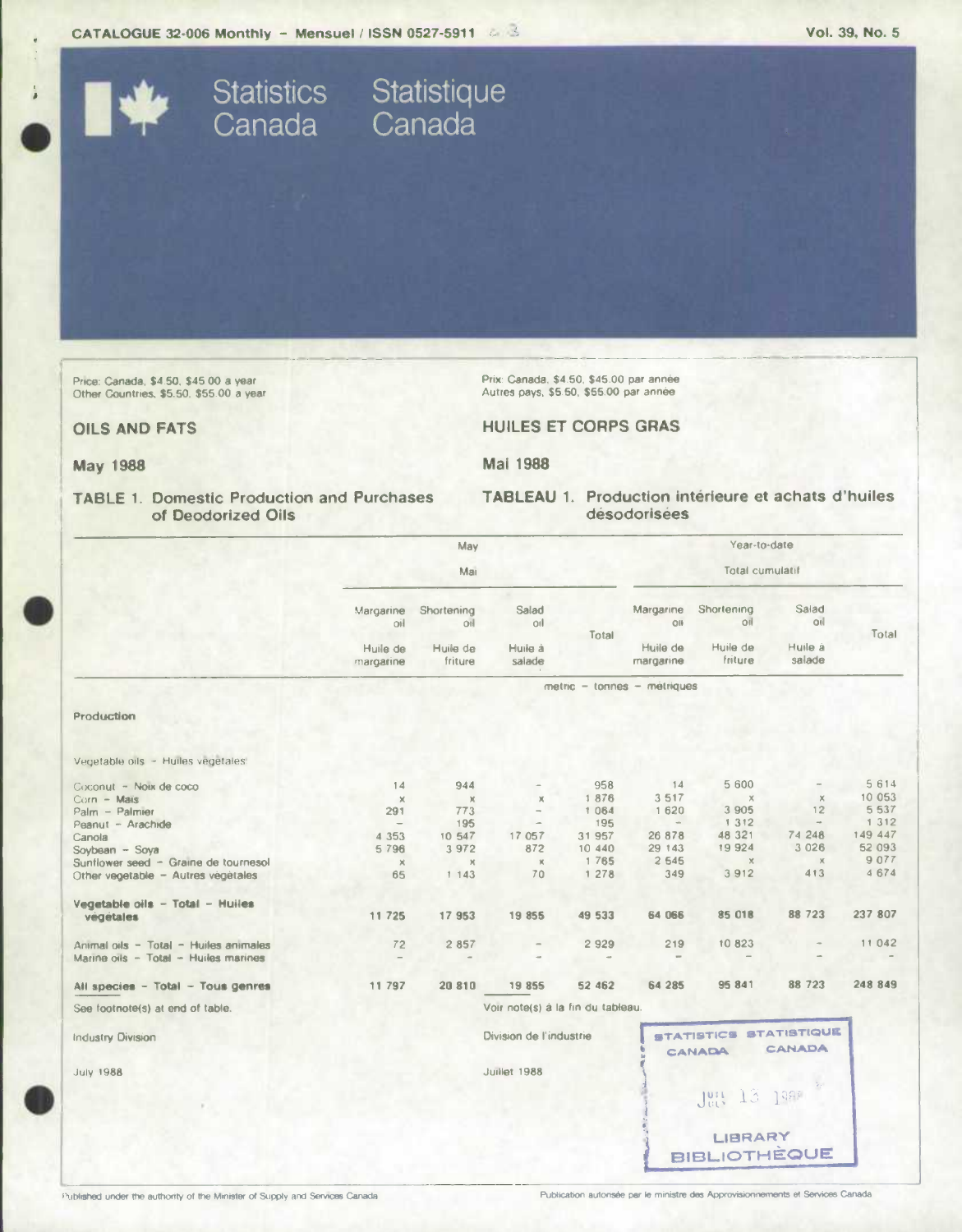CATALOGUE 32-006 Monthly - Mensuel / ISSN 0527-5911 & 3

Statistics Statistique<br>Canada Canada

Price: Canada, \$4.50, \$45.00 a year<br>Other Countries, \$5.50, \$55.00 a year

Prix: Canada, \$4.50, \$45.00 par année Autres pays, \$5.50, \$55.00 par année

**HUILES ET CORPS GRAS** 

# **OILS AND FATS**

**May 1988** 

Mai 1988

### **TABLE 1. Domestic Production and Purchases** of Deodorized Oils

TABLEAU 1. Production intérieure et achats d'huiles désodorisées

|                                       | May<br>Mai                                |                                         |                                   |                                                                           | Year-to-date<br>Total cumulatif           |                                           |                                   |         |
|---------------------------------------|-------------------------------------------|-----------------------------------------|-----------------------------------|---------------------------------------------------------------------------|-------------------------------------------|-------------------------------------------|-----------------------------------|---------|
|                                       | Margarine<br>oil<br>Huile de<br>margarine | Shortening<br>OI<br>Huile de<br>friture | Salad<br>oil<br>Huile à<br>salade | Total                                                                     | Margarine<br>OII<br>Huile de<br>margarine | Shortening<br> 00 <br>Huile de<br>friture | Salad<br>oil<br>Huile à<br>salade | Total   |
|                                       |                                           |                                         |                                   | metric - tonnes - metriques                                               |                                           |                                           |                                   |         |
| Production                            |                                           |                                         |                                   |                                                                           |                                           |                                           |                                   |         |
| Vegetable oils - Huiles vegetales:    |                                           |                                         |                                   |                                                                           |                                           |                                           |                                   |         |
| Coconut - Noix de coco                | 14                                        | 944                                     |                                   | 958                                                                       | 14                                        | 5 600                                     |                                   | 5 6 1 4 |
| Corn - Mais                           | $\times$                                  | $\chi$                                  | $\chi$                            | 1876                                                                      | 3 5 1 7                                   | $\times$                                  | $\times$                          | 10 053  |
| Palm - Palmier                        | 291                                       | 773                                     | $\rightarrow$                     | 1 0 6 4                                                                   | 1 620                                     | 3 9 0 5                                   | 12                                | 5 5 3 7 |
| Peanut - Arachide                     | $\qquad \qquad =$                         | 195                                     |                                   | 195                                                                       | $\sim$                                    | 1 3 1 2                                   | $\sim$                            | 1 3 1 2 |
| Canola                                | 4 3 5 3                                   | 10 547                                  | 17 057                            | 31 957                                                                    | 26 878                                    | 48 321                                    | 74 248                            | 149 447 |
| Soybean - Soya                        | 5796                                      | 3 972                                   | 872                               | 10 440                                                                    | 29 143                                    | 19924                                     | 3 0 2 6                           | 52 093  |
| Sunflower seed - Graine de tournesol  | $\mathbb X$                               | $\mathbb X$                             | $\chi$                            | 1 7 8 5                                                                   | 2 5 4 5                                   | $\times$                                  | $\chi$                            | 9 0 7 7 |
| Other vegetable - Autres vegetales    | 65                                        | 1 1 4 3                                 | 70                                | 1 278                                                                     | 349                                       | 3912                                      | 413                               | 4674    |
| Vegetable oils - Total - Huiles       |                                           |                                         |                                   |                                                                           |                                           |                                           |                                   |         |
| végétales                             | 11 725                                    | 17 953                                  | 19 855                            | 49 533                                                                    | 64 066                                    | 85 018                                    | 88 723                            | 237 807 |
|                                       |                                           |                                         |                                   |                                                                           |                                           |                                           |                                   |         |
| Animal oils - Total - Huiles animales | 72                                        | 2 8 5 7                                 | $\overline{a}$                    | 2 9 2 9                                                                   | 219                                       | 10 823                                    |                                   | 11 042  |
| Marine oils - Total - Huiles marines  |                                           |                                         |                                   |                                                                           |                                           |                                           |                                   |         |
| All species - Total - Tous genres     | 11 797                                    | 20 810                                  | 19855                             | 52 462                                                                    | 64 285                                    | 95 841                                    | 88 723                            | 248 849 |
|                                       |                                           |                                         |                                   |                                                                           |                                           |                                           |                                   |         |
| See footnote(s) at end of table.      |                                           |                                         | Voir note(s) à la fin du tableau. |                                                                           |                                           |                                           |                                   |         |
| <b>Industry Division</b>              | Division de l'industrie                   |                                         |                                   | <b>STATISTIQUE</b><br><b>STATISTICS</b><br><b>CANADA</b><br><b>CANADA</b> |                                           |                                           |                                   |         |
| <b>July 1988</b>                      |                                           |                                         | Juillet 1988                      |                                                                           |                                           |                                           |                                   |         |
|                                       |                                           |                                         |                                   |                                                                           |                                           | 13<br>Jety.                               | 1380                              |         |
|                                       |                                           |                                         |                                   |                                                                           |                                           |                                           |                                   |         |
|                                       |                                           |                                         |                                   |                                                                           |                                           | LIBRARY                                   |                                   |         |
|                                       |                                           |                                         |                                   |                                                                           |                                           |                                           |                                   |         |
|                                       |                                           |                                         |                                   |                                                                           |                                           | <b>BIBLIOTHÈQUE</b>                       |                                   |         |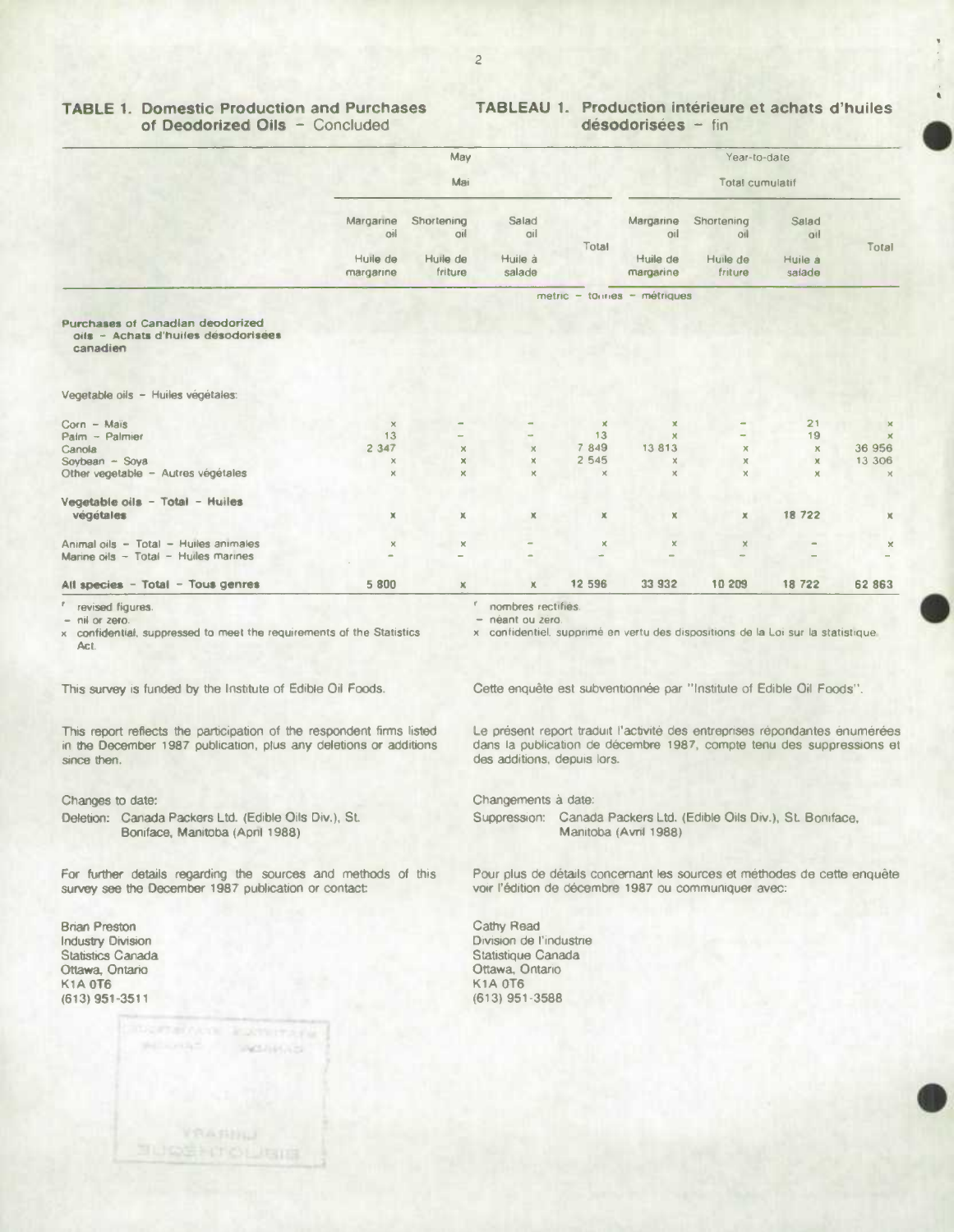### **TABLE 1. Domestic Production and Purchases** of Deodorized Oils - Concluded

## **TABLEAU 1. Production intérieure et achats d'huiles** désodorisées - fin

|                                                                                     | May<br>Mai            |                     |                       | Year-to-date   |                                    |                     |                   |                           |
|-------------------------------------------------------------------------------------|-----------------------|---------------------|-----------------------|----------------|------------------------------------|---------------------|-------------------|---------------------------|
|                                                                                     |                       |                     |                       |                | <b>Total cumulatif</b>             |                     |                   |                           |
|                                                                                     | Margarine<br>oil      | Shortening<br>oil   | Salad<br>oil          | Total          | Margarine<br>oil                   | Shortening<br>oil   | Salad<br>oil      | Total                     |
|                                                                                     | Huile de<br>margarine | Huile de<br>friture | Huile à<br>salade     |                | Huile de<br>margarine              | Huile de<br>friture | Huile à<br>salade |                           |
|                                                                                     |                       |                     |                       |                | $metric - toright - s - métriques$ |                     |                   |                           |
| Purchases of Canadian deodorized<br>oils - Achats d'huiles désodorisées<br>canadien |                       |                     |                       |                |                                    |                     |                   |                           |
| Vegetable oils - Huiles végétales:                                                  |                       |                     |                       |                |                                    |                     |                   |                           |
| $Corn - Mais$                                                                       | $\times$              |                     |                       | $\pmb{\times}$ | ×                                  |                     | 21                | $\mathbf{x}$              |
| Palm - Palmier                                                                      | 13                    |                     |                       | 13             | $\mathbf x$                        |                     | 19                | $\boldsymbol{\mathsf{x}}$ |
| Canola                                                                              | 2 3 4 7               | $\times$            | $\times$              | 7 849          | 13813                              | ×                   | $\mathsf{x}$      | 36 956                    |
| Sovbean - Soya                                                                      | ×                     | $\mathsf{x}$        | $\boldsymbol{\times}$ | 2 5 4 5        | ×.                                 | $\mathbb X$         | $\pmb{\times}$    | 13 306                    |
| Other vegetable - Autres végétales                                                  | ×                     | $\pmb{\times}$      | $\times$              | $\times$       | $\times$                           | $\times$            | ×                 | $\times$                  |
| Vegetable oils - Total - Huiles                                                     |                       |                     |                       |                |                                    |                     |                   |                           |
| végétales                                                                           | ×                     | x                   | $\mathbb X$           | x              | ×                                  | ×                   | 18 722            | $\mathsf{X}$              |
| Animal oils - Total - Huiles animales                                               | ×                     | $\mathbb X$         |                       | ×              | $\times$                           | ×                   |                   | ×                         |
| Marine oils - Total - Huiles marines                                                |                       |                     |                       |                | -                                  |                     |                   |                           |
| All species - Total - Tous genres                                                   | 5 800                 | x                   | $\mathsf{X}$          | 12 596         | 33 932                             | 10 209              | 18 722            | 62 863                    |

r revised figures.

- nil or zero.

x confidential, suppressed to meet the requirements of the Statistics Act.

This survey is funded by the Institute of Edible Oil Foods.

This report reflects the participation of the respondent firms listed in the December 1987 publication, plus any deletions or additions since then.

### Changes to date:

Deletion: Canada Packers Ltd. (Edible Oils Div.), St. Boniface, Manitoba (April 1988)

For further details regarding the sources and methods of this survey see the December 1987 publication or contact:

**Brian Preston Industry Division** Statistics Canada Ottawa, Ontario **K1A 0T6**  $(613)$  951-3511



nombres rectifiés.

néant ou zero.

x confidentiel, supprimé en vertu des dispositions de la Loi sur la statistique.

Cette enquête est subventionnée par "Institute of Edible Oil Foods".

Le présent report traduit l'activité des entreprises répondantes énumérées dans la publication de décembre 1987, compte tenu des suppressions et des additions, depuis lors.

Changements à date:

Suppression: Canada Packers Ltd. (Edible Oils Div.), St. Boniface, Manitoba (Avril 1988)

Pour plus de détails concernant les sources et méthodes de cette enquête voir l'édition de décembre 1987 ou communiquer avec:

Cathy Read Division de l'industrie Statistique Canada Ottawa, Ontario **K1A 0T6**  $(613)$  951-3588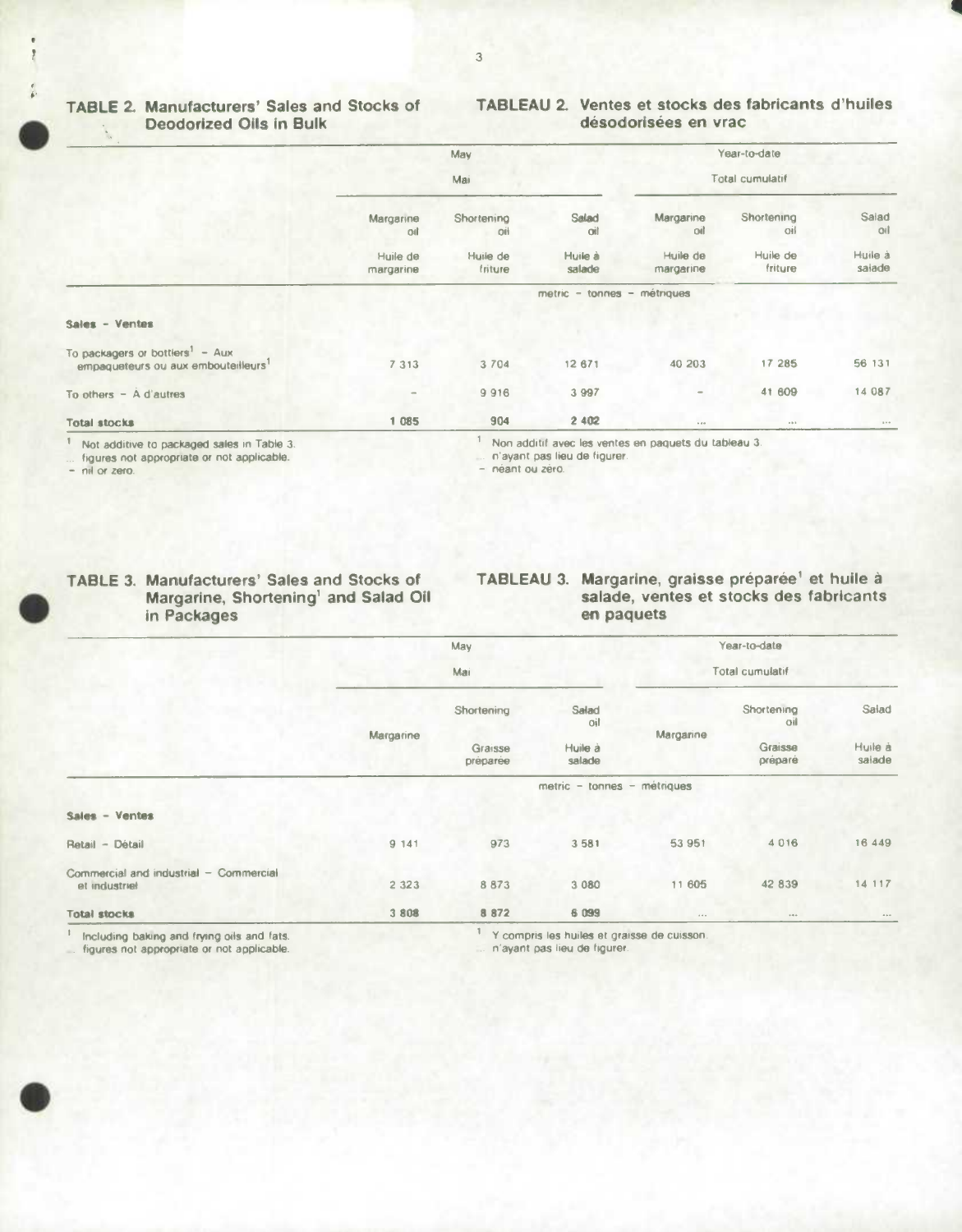# **Deodorized Oils in Bulk**

# **TABLE 2. Manufacturers' Sales and Stocks of TABLEAU 2. Ventes et stocks des fabricants d'huiles**

|                                                                                    |                             | May                 |                   |                       | Year-to-date        |                             |  |
|------------------------------------------------------------------------------------|-----------------------------|---------------------|-------------------|-----------------------|---------------------|-----------------------------|--|
|                                                                                    | Mai                         |                     |                   | Total cumulatif       |                     |                             |  |
|                                                                                    | Margarine<br>oil            | Shortening<br>oil   | Salad<br>oil      | Margarine<br>oil      | Shortening<br>Oil   | Salad<br>oil                |  |
|                                                                                    | Huile de<br>margarine       | Huile de<br>friture | Huile à<br>salade | Huile de<br>margarine | Huile de<br>friture | Huile à<br>salade           |  |
|                                                                                    | metric - tonnes - métriques |                     |                   |                       |                     |                             |  |
| Sales - Ventes                                                                     |                             |                     |                   |                       |                     |                             |  |
| To packagers or bottlers <sup>1</sup> - Aux<br>empaqueteurs ou aux embouteilleurs1 | 7 3 1 3                     | 3 7 0 4             | 12 671            | 40 20 3               | 17 285              | 56 131                      |  |
| To others $-$ A d'autres                                                           |                             | 9916                | 3 9 9 7           | $\equiv$              | 41 609              | 14 087                      |  |
| <b>Total stocks</b>                                                                | 1 085                       | 904                 | 2 4 0 2           | 1.14                  | $\alpha \gg \alpha$ | $\mathbf{r}$ o $\mathbf{r}$ |  |

Not additive to packaged sales in Table 3

figures not appropriate or not applicable.

- nil or zero.

# **FABLE 3. Manufacturers' Sales and Stocks of Margarine, Shortening<sup>1</sup> and Salad Oil in Packages**

### Non additif avec lea ventes an paguets du tableau 3.

n'ayant pas lieu de figurer.

- néant ou zéro.

# **TABLEAU 3. Margarine, graisse préparée' et huile a salade, ventes et stocks des fabricants en paquets**

|                                                         | May<br>Mai                  |                                   |                                             | Year-to-date          |                                         |                            |  |  |
|---------------------------------------------------------|-----------------------------|-----------------------------------|---------------------------------------------|-----------------------|-----------------------------------------|----------------------------|--|--|
|                                                         |                             |                                   |                                             | Total cumulatif       |                                         |                            |  |  |
|                                                         | Margarine                   | Shortening<br>Graisse<br>preparee | Salad<br>oil<br>Huile à<br>salade           | Margarine             | Shortening<br>oil<br>Graisse<br>préparé | Salad<br>Huile à<br>salade |  |  |
|                                                         | metric - tonnes - métriques |                                   |                                             |                       |                                         |                            |  |  |
| Sales - Ventes                                          |                             |                                   |                                             |                       |                                         |                            |  |  |
| Retail - Détail                                         | 9 141                       | 973                               | 3 581                                       | 53 951                | 4016                                    | 16 449                     |  |  |
| Commercial and industrial - Commercial<br>et industrief | 2 3 2 3                     | 8873                              | 3 0 8 0                                     | 11 605                | 42 839                                  | 14 117                     |  |  |
| <b>Total stocks</b>                                     | 3 8 0 8                     | 8 8 7 2                           | 6 099                                       | $\epsilon + \epsilon$ | 14.4.0                                  | $-$                        |  |  |
| Including baking and frying oils and fats.              |                             |                                   | Y compris les huiles et graisse de cuisson. |                       |                                         |                            |  |  |

figures not appropriate or not applicable. n'ayant pas lieu de figurer.



#### 3